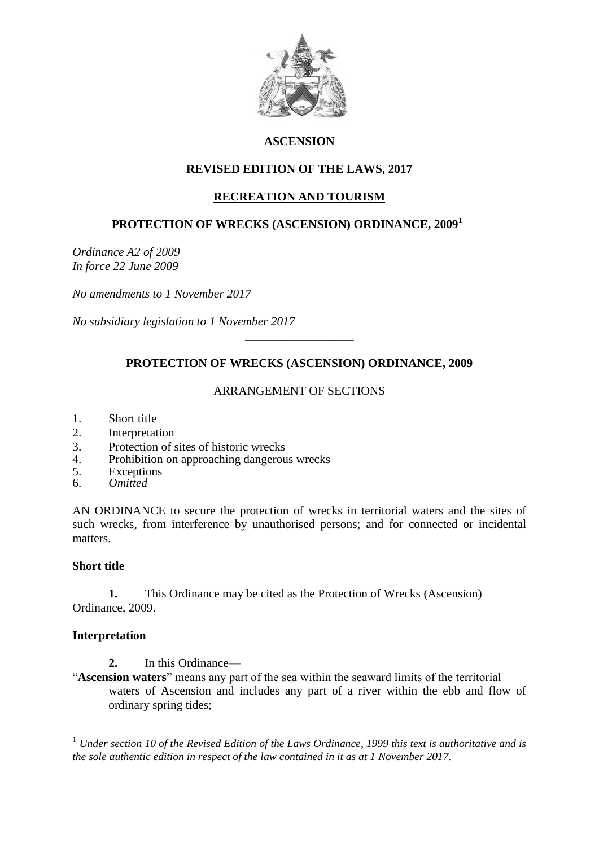

# **ASCENSION**

## **REVISED EDITION OF THE LAWS, 2017**

# **RECREATION AND TOURISM**

## **PROTECTION OF WRECKS (ASCENSION) ORDINANCE, 2009<sup>1</sup>**

*Ordinance A2 of 2009 In force 22 June 2009*

*No amendments to 1 November 2017*

*No subsidiary legislation to 1 November 2017*

# **PROTECTION OF WRECKS (ASCENSION) ORDINANCE, 2009**

\_\_\_\_\_\_\_\_\_\_\_\_\_\_\_\_\_\_

## ARRANGEMENT OF SECTIONS

- 1. Short title
- 2. Interpretation
- 3. Protection of sites of historic wrecks<br>4 Prohibition on approaching dangerous
- 4. Prohibition on approaching dangerous wrecks
- 5. Exceptions
- 6. *Omitted*

AN ORDINANCE to secure the protection of wrecks in territorial waters and the sites of such wrecks, from interference by unauthorised persons; and for connected or incidental matters.

### **Short title**

**1.** This Ordinance may be cited as the Protection of Wrecks (Ascension) Ordinance, 2009.

### **Interpretation**

1

- **2.** In this Ordinance—
- "**Ascension waters**" means any part of the sea within the seaward limits of the territorial waters of Ascension and includes any part of a river within the ebb and flow of ordinary spring tides;

<sup>1</sup> *Under section 10 of the Revised Edition of the Laws Ordinance, 1999 this text is authoritative and is the sole authentic edition in respect of the law contained in it as at 1 November 2017.*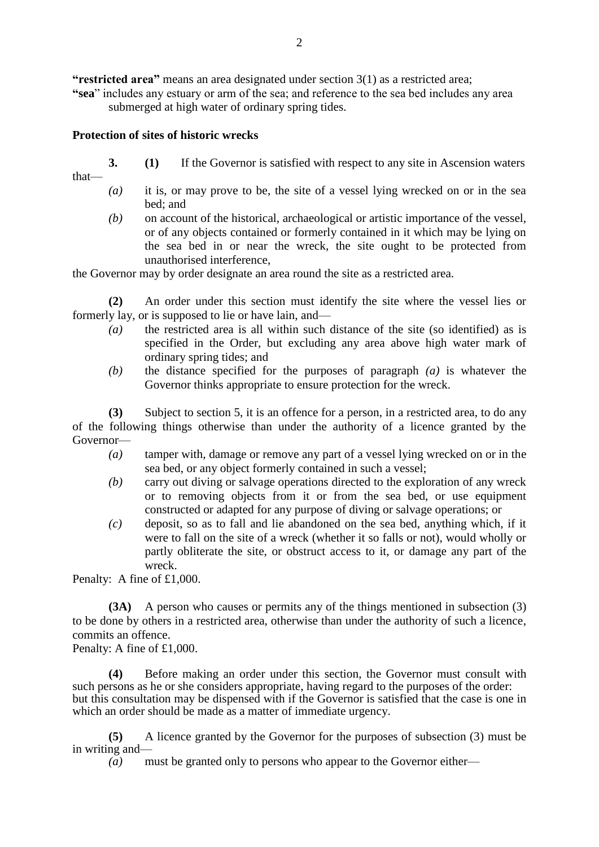**"restricted area"** means an area designated under section 3(1) as a restricted area;

**"sea**" includes any estuary or arm of the sea; and reference to the sea bed includes any area submerged at high water of ordinary spring tides.

## **Protection of sites of historic wrecks**

- **3. (1)** If the Governor is satisfied with respect to any site in Ascension waters
- that—
- *(a)* it is, or may prove to be, the site of a vessel lying wrecked on or in the sea bed; and
- *(b)* on account of the historical, archaeological or artistic importance of the vessel, or of any objects contained or formerly contained in it which may be lying on the sea bed in or near the wreck, the site ought to be protected from unauthorised interference,

the Governor may by order designate an area round the site as a restricted area.

**(2)** An order under this section must identify the site where the vessel lies or formerly lay, or is supposed to lie or have lain, and—

- *(a)* the restricted area is all within such distance of the site (so identified) as is specified in the Order, but excluding any area above high water mark of ordinary spring tides; and
- *(b)* the distance specified for the purposes of paragraph *(a)* is whatever the Governor thinks appropriate to ensure protection for the wreck.

**(3)** Subject to section 5, it is an offence for a person, in a restricted area, to do any of the following things otherwise than under the authority of a licence granted by the Governor—

- *(a)* tamper with, damage or remove any part of a vessel lying wrecked on or in the sea bed, or any object formerly contained in such a vessel;
- *(b)* carry out diving or salvage operations directed to the exploration of any wreck or to removing objects from it or from the sea bed, or use equipment constructed or adapted for any purpose of diving or salvage operations; or
- *(c)* deposit, so as to fall and lie abandoned on the sea bed, anything which, if it were to fall on the site of a wreck (whether it so falls or not), would wholly or partly obliterate the site, or obstruct access to it, or damage any part of the wreck.

Penalty: A fine of £1,000.

**(3A)** A person who causes or permits any of the things mentioned in subsection (3) to be done by others in a restricted area, otherwise than under the authority of such a licence, commits an offence.

Penalty: A fine of £1,000.

**(4)** Before making an order under this section, the Governor must consult with such persons as he or she considers appropriate, having regard to the purposes of the order: but this consultation may be dispensed with if the Governor is satisfied that the case is one in which an order should be made as a matter of immediate urgency.

**(5)** A licence granted by the Governor for the purposes of subsection (3) must be in writing and—

*(a)* must be granted only to persons who appear to the Governor either—